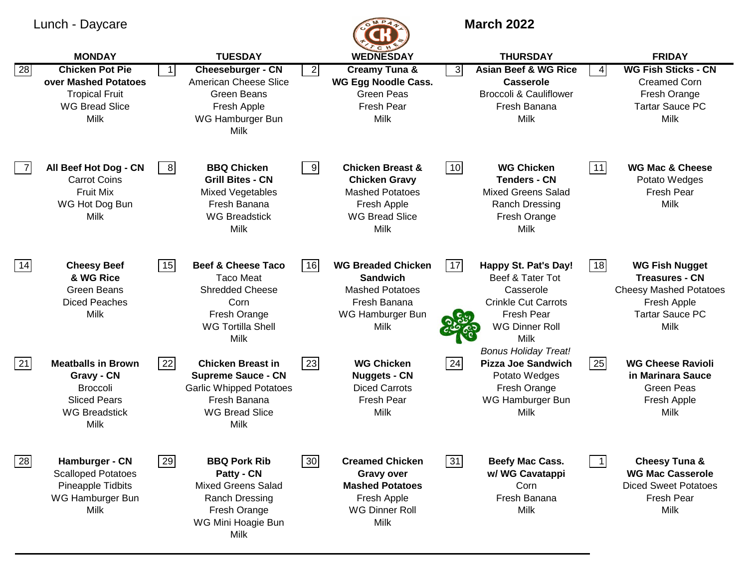## Lunch - Daycare **March 2022**



|    | <b>MONDAY</b>                                                                                                     |           | <b>TUESDAY</b>                                                                                                                           |                | $\sim$<br><b>WEDNESDAY</b>                                                                                                           |              | <b>THURSDAY</b>                                                                                                                                                                 |                            | <b>FRIDAY</b>                                                                                                                           |
|----|-------------------------------------------------------------------------------------------------------------------|-----------|------------------------------------------------------------------------------------------------------------------------------------------|----------------|--------------------------------------------------------------------------------------------------------------------------------------|--------------|---------------------------------------------------------------------------------------------------------------------------------------------------------------------------------|----------------------------|-----------------------------------------------------------------------------------------------------------------------------------------|
| 28 | <b>Chicken Pot Pie</b><br>over Mashed Potatoes<br><b>Tropical Fruit</b><br><b>WG Bread Slice</b><br>Milk          | $\vert$ 1 | <b>Cheeseburger - CN</b><br>American Cheese Slice<br><b>Green Beans</b><br>Fresh Apple<br>WG Hamburger Bun<br><b>Milk</b>                | $\vert$ 2      | <b>Creamy Tuna &amp;</b><br><b>WG Egg Noodle Cass.</b><br><b>Green Peas</b><br>Fresh Pear<br><b>Milk</b>                             | $\mathbf{3}$ | <b>Asian Beef &amp; WG Rice</b><br><b>Casserole</b><br><b>Broccoli &amp; Cauliflower</b><br>Fresh Banana<br>Milk                                                                | $\overline{4}$             | <b>WG Fish Sticks - CN</b><br><b>Creamed Corn</b><br>Fresh Orange<br><b>Tartar Sauce PC</b><br>Milk                                     |
| 7  | All Beef Hot Dog - CN<br><b>Carrot Coins</b><br><b>Fruit Mix</b><br>WG Hot Dog Bun<br>Milk                        | 8         | <b>BBQ Chicken</b><br><b>Grill Bites - CN</b><br><b>Mixed Vegetables</b><br>Fresh Banana<br><b>WG Breadstick</b><br><b>Milk</b>          | $\overline{9}$ | <b>Chicken Breast &amp;</b><br><b>Chicken Gravy</b><br><b>Mashed Potatoes</b><br>Fresh Apple<br><b>WG Bread Slice</b><br><b>Milk</b> | 10           | <b>WG Chicken</b><br><b>Tenders - CN</b><br><b>Mixed Greens Salad</b><br>Ranch Dressing<br>Fresh Orange<br><b>Milk</b>                                                          | $11$                       | <b>WG Mac &amp; Cheese</b><br>Potato Wedges<br><b>Fresh Pear</b><br><b>Milk</b>                                                         |
| 14 | <b>Cheesy Beef</b><br>& WG Rice<br><b>Green Beans</b><br><b>Diced Peaches</b><br>Milk                             | 15        | <b>Beef &amp; Cheese Taco</b><br><b>Taco Meat</b><br><b>Shredded Cheese</b><br>Corn<br>Fresh Orange<br><b>WG Tortilla Shell</b><br>Milk  | 16             | <b>WG Breaded Chicken</b><br><b>Sandwich</b><br><b>Mashed Potatoes</b><br>Fresh Banana<br>WG Hamburger Bun<br><b>Milk</b>            | 17           | Happy St. Pat's Day!<br>Beef & Tater Tot<br>Casserole<br><b>Crinkle Cut Carrots</b><br><b>Fresh Pear</b><br><b>WG Dinner Roll</b><br><b>Milk</b><br><b>Bonus Holiday Treat!</b> | 18                         | <b>WG Fish Nugget</b><br><b>Treasures - CN</b><br><b>Cheesy Mashed Potatoes</b><br>Fresh Apple<br><b>Tartar Sauce PC</b><br><b>Milk</b> |
| 21 | <b>Meatballs in Brown</b><br>Gravy - CN<br><b>Broccoli</b><br><b>Sliced Pears</b><br><b>WG Breadstick</b><br>Milk | 22        | <b>Chicken Breast in</b><br><b>Supreme Sauce - CN</b><br><b>Garlic Whipped Potatoes</b><br>Fresh Banana<br><b>WG Bread Slice</b><br>Milk | 23             | <b>WG Chicken</b><br><b>Nuggets - CN</b><br><b>Diced Carrots</b><br>Fresh Pear<br><b>Milk</b>                                        | 24           | <b>Pizza Joe Sandwich</b><br>Potato Wedges<br>Fresh Orange<br>WG Hamburger Bun<br>Milk                                                                                          | 25                         | <b>WG Cheese Ravioli</b><br>in Marinara Sauce<br><b>Green Peas</b><br>Fresh Apple<br>Milk                                               |
| 28 | Hamburger - CN<br><b>Scalloped Potatoes</b><br>Pineapple Tidbits<br>WG Hamburger Bun<br><b>Milk</b>               | 29        | <b>BBQ Pork Rib</b><br>Patty - CN<br><b>Mixed Greens Salad</b><br>Ranch Dressing<br>Fresh Orange<br>WG Mini Hoagie Bun<br>Milk           | 30             | <b>Creamed Chicken</b><br>Gravy over<br><b>Mashed Potatoes</b><br>Fresh Apple<br><b>WG Dinner Roll</b><br><b>Milk</b>                | 31           | Beefy Mac Cass.<br>w/ WG Cavatappi<br>Corn<br>Fresh Banana<br><b>Milk</b>                                                                                                       | $\overline{\phantom{a}}$ 1 | Cheesy Tuna &<br><b>WG Mac Casserole</b><br><b>Diced Sweet Potatoes</b><br>Fresh Pear<br><b>Milk</b>                                    |